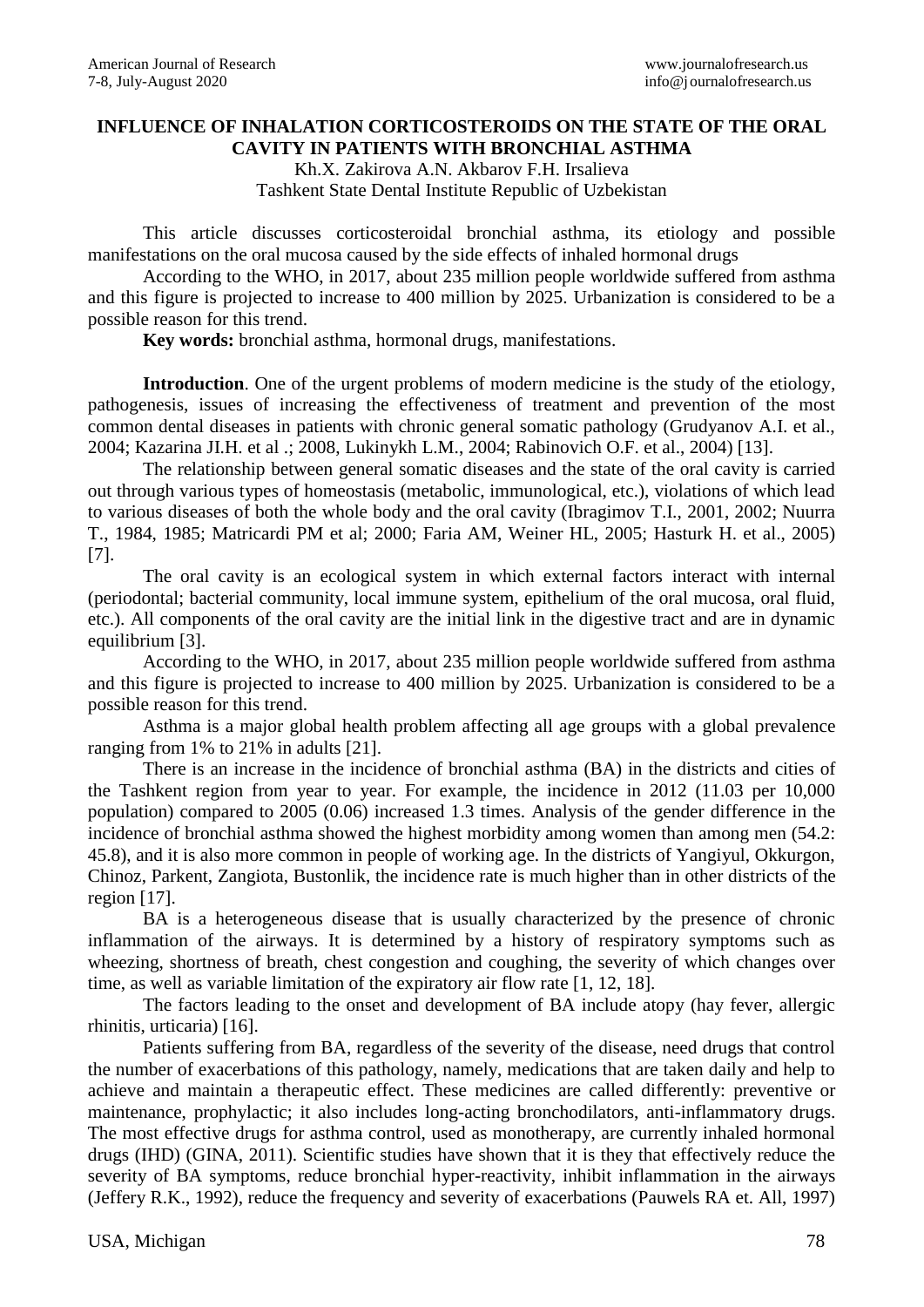## **INFLUENCE OF INHALATION CORTICOSTEROIDS ON THE STATE OF THE ORAL CAVITY IN PATIENTS WITH BRONCHIAL ASTHMA**

Kh.X. Zakirova A.N. Akbarov F.H. Irsalieva Tashkent State Dental Institute Republic of Uzbekistan

This article discusses corticosteroidal bronchial asthma, its etiology and possible manifestations on the oral mucosa caused by the side effects of inhaled hormonal drugs

According to the WHO, in 2017, about 235 million people worldwide suffered from asthma and this figure is projected to increase to 400 million by 2025. Urbanization is considered to be a possible reason for this trend.

**Key words:** bronchial asthma, hormonal drugs, manifestations.

**Introduction**. One of the urgent problems of modern medicine is the study of the etiology, pathogenesis, issues of increasing the effectiveness of treatment and prevention of the most common dental diseases in patients with chronic general somatic pathology (Grudyanov A.I. et al., 2004; Kazarina JI.H. et al .; 2008, Lukinykh L.M., 2004; Rabinovich O.F. et al., 2004) [13].

The relationship between general somatic diseases and the state of the oral cavity is carried out through various types of homeostasis (metabolic, immunological, etc.), violations of which lead to various diseases of both the whole body and the oral cavity (Ibragimov T.I., 2001, 2002; Nuurra T., 1984, 1985; Matricardi PM et al; 2000; Faria AM, Weiner HL, 2005; Hasturk H. et al., 2005) [7].

The oral cavity is an ecological system in which external factors interact with internal (periodontal; bacterial community, local immune system, epithelium of the oral mucosa, oral fluid, etc.). All components of the oral cavity are the initial link in the digestive tract and are in dynamic equilibrium [3].

According to the WHO, in 2017, about 235 million people worldwide suffered from asthma and this figure is projected to increase to 400 million by 2025. Urbanization is considered to be a possible reason for this trend.

Asthma is a major global health problem affecting all age groups with a global prevalence ranging from 1% to 21% in adults [21].

There is an increase in the incidence of bronchial asthma (BA) in the districts and cities of the Tashkent region from year to year. For example, the incidence in 2012 (11.03 per 10,000 population) compared to 2005 (0.06) increased 1.3 times. Analysis of the gender difference in the incidence of bronchial asthma showed the highest morbidity among women than among men (54.2: 45.8), and it is also more common in people of working age. In the districts of Yangiyul, Okkurgon, Chinoz, Parkent, Zangiota, Bustonlik, the incidence rate is much higher than in other districts of the region [17].

BA is a heterogeneous disease that is usually characterized by the presence of chronic inflammation of the airways. It is determined by a history of respiratory symptoms such as wheezing, shortness of breath, chest congestion and coughing, the severity of which changes over time, as well as variable limitation of the expiratory air flow rate [1, 12, 18].

The factors leading to the onset and development of BA include atopy (hay fever, allergic rhinitis, urticaria) [16].

Patients suffering from BA, regardless of the severity of the disease, need drugs that control the number of exacerbations of this pathology, namely, medications that are taken daily and help to achieve and maintain a therapeutic effect. These medicines are called differently: preventive or maintenance, prophylactic; it also includes long-acting bronchodilators, anti-inflammatory drugs. The most effective drugs for asthma control, used as monotherapy, are currently inhaled hormonal drugs (IHD) (GINA, 2011). Scientific studies have shown that it is they that effectively reduce the severity of BA symptoms, reduce bronchial hyper-reactivity, inhibit inflammation in the airways (Jeffery R.K., 1992), reduce the frequency and severity of exacerbations (Pauwels RA et. All, 1997)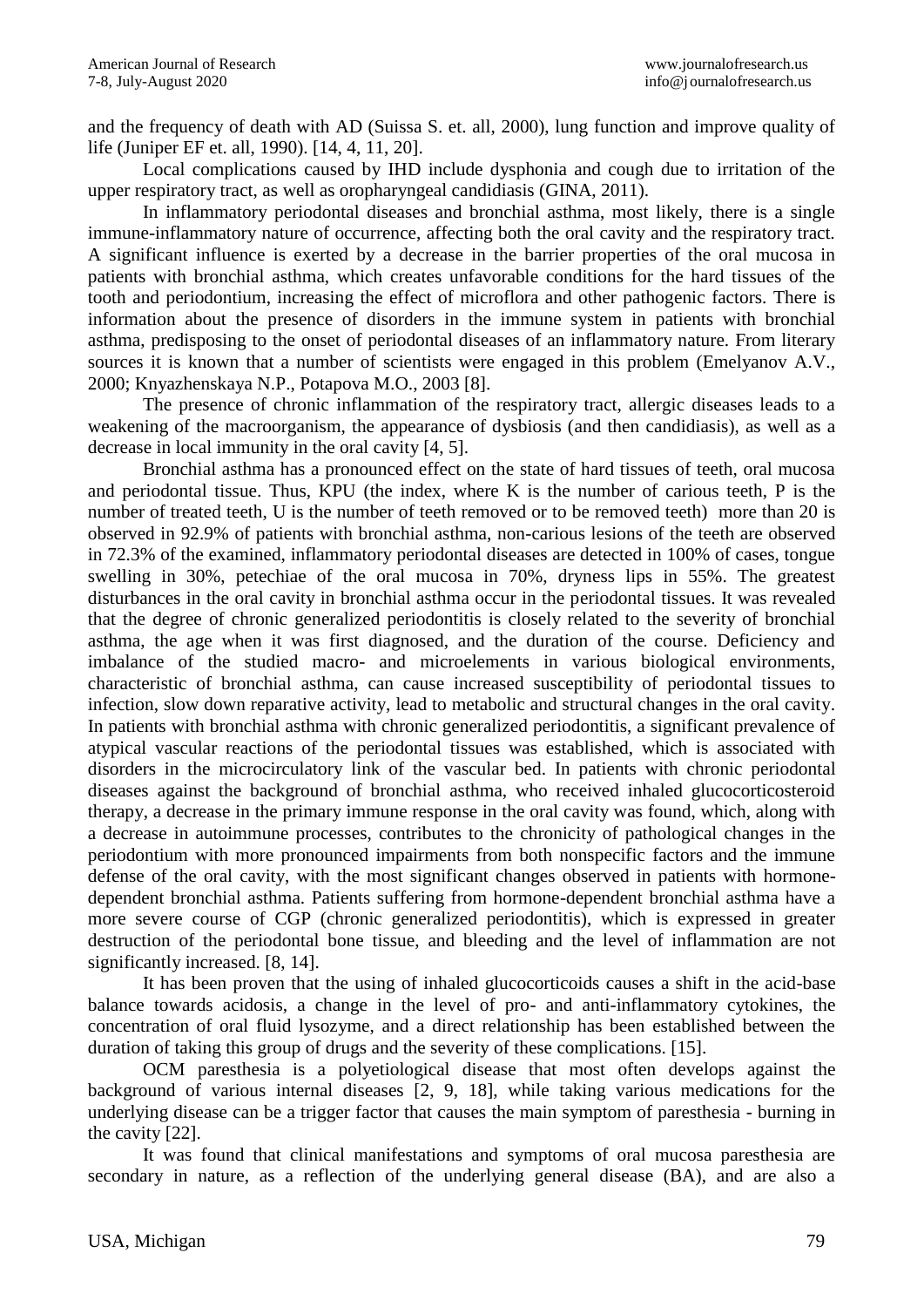and the frequency of death with AD (Suissa S. et. all, 2000), lung function and improve quality of life (Juniper EF et. all, 1990). [14, 4, 11, 20].

Local complications caused by IHD include dysphonia and cough due to irritation of the upper respiratory tract, as well as oropharyngeal candidiasis (GINA, 2011).

In inflammatory periodontal diseases and bronchial asthma, most likely, there is a single immune-inflammatory nature of occurrence, affecting both the oral cavity and the respiratory tract. A significant influence is exerted by a decrease in the barrier properties of the oral mucosa in patients with bronchial asthma, which creates unfavorable conditions for the hard tissues of the tooth and periodontium, increasing the effect of microflora and other pathogenic factors. There is information about the presence of disorders in the immune system in patients with bronchial asthma, predisposing to the onset of periodontal diseases of an inflammatory nature. From literary sources it is known that a number of scientists were engaged in this problem (Emelyanov A.V., 2000; Knyazhenskaya N.P., Potapova M.O., 2003 [8].

The presence of chronic inflammation of the respiratory tract, allergic diseases leads to a weakening of the macroorganism, the appearance of dysbiosis (and then candidiasis), as well as a decrease in local immunity in the oral cavity [4, 5].

Bronchial asthma has a pronounced effect on the state of hard tissues of teeth, oral mucosa and periodontal tissue. Thus, KPU (the index, where K is the number of carious teeth, P is the number of treated teeth, U is the number of teeth removed or to be removed teeth) more than 20 is observed in 92.9% of patients with bronchial asthma, non-carious lesions of the teeth are observed in 72.3% of the examined, inflammatory periodontal diseases are detected in 100% of cases, tongue swelling in 30%, petechiae of the oral mucosa in 70%, dryness lips in 55%. The greatest disturbances in the oral cavity in bronchial asthma occur in the periodontal tissues. It was revealed that the degree of chronic generalized periodontitis is closely related to the severity of bronchial asthma, the age when it was first diagnosed, and the duration of the course. Deficiency and imbalance of the studied macro- and microelements in various biological environments, characteristic of bronchial asthma, can cause increased susceptibility of periodontal tissues to infection, slow down reparative activity, lead to metabolic and structural changes in the oral cavity. In patients with bronchial asthma with chronic generalized periodontitis, a significant prevalence of atypical vascular reactions of the periodontal tissues was established, which is associated with disorders in the microcirculatory link of the vascular bed. In patients with chronic periodontal diseases against the background of bronchial asthma, who received inhaled glucocorticosteroid therapy, a decrease in the primary immune response in the oral cavity was found, which, along with a decrease in autoimmune processes, contributes to the chronicity of pathological changes in the periodontium with more pronounced impairments from both nonspecific factors and the immune defense of the oral cavity, with the most significant changes observed in patients with hormonedependent bronchial asthma. Patients suffering from hormone-dependent bronchial asthma have a more severe course of CGP (chronic generalized periodontitis), which is expressed in greater destruction of the periodontal bone tissue, and bleeding and the level of inflammation are not significantly increased. [8, 14].

It has been proven that the using of inhaled glucocorticoids causes a shift in the acid-base balance towards acidosis, a change in the level of pro- and anti-inflammatory cytokines, the concentration of oral fluid lysozyme, and a direct relationship has been established between the duration of taking this group of drugs and the severity of these complications. [15].

OCM paresthesia is a polyetiological disease that most often develops against the background of various internal diseases [2, 9, 18], while taking various medications for the underlying disease can be a trigger factor that causes the main symptom of paresthesia - burning in the cavity [22].

It was found that clinical manifestations and symptoms of oral mucosa paresthesia are secondary in nature, as a reflection of the underlying general disease (BA), and are also a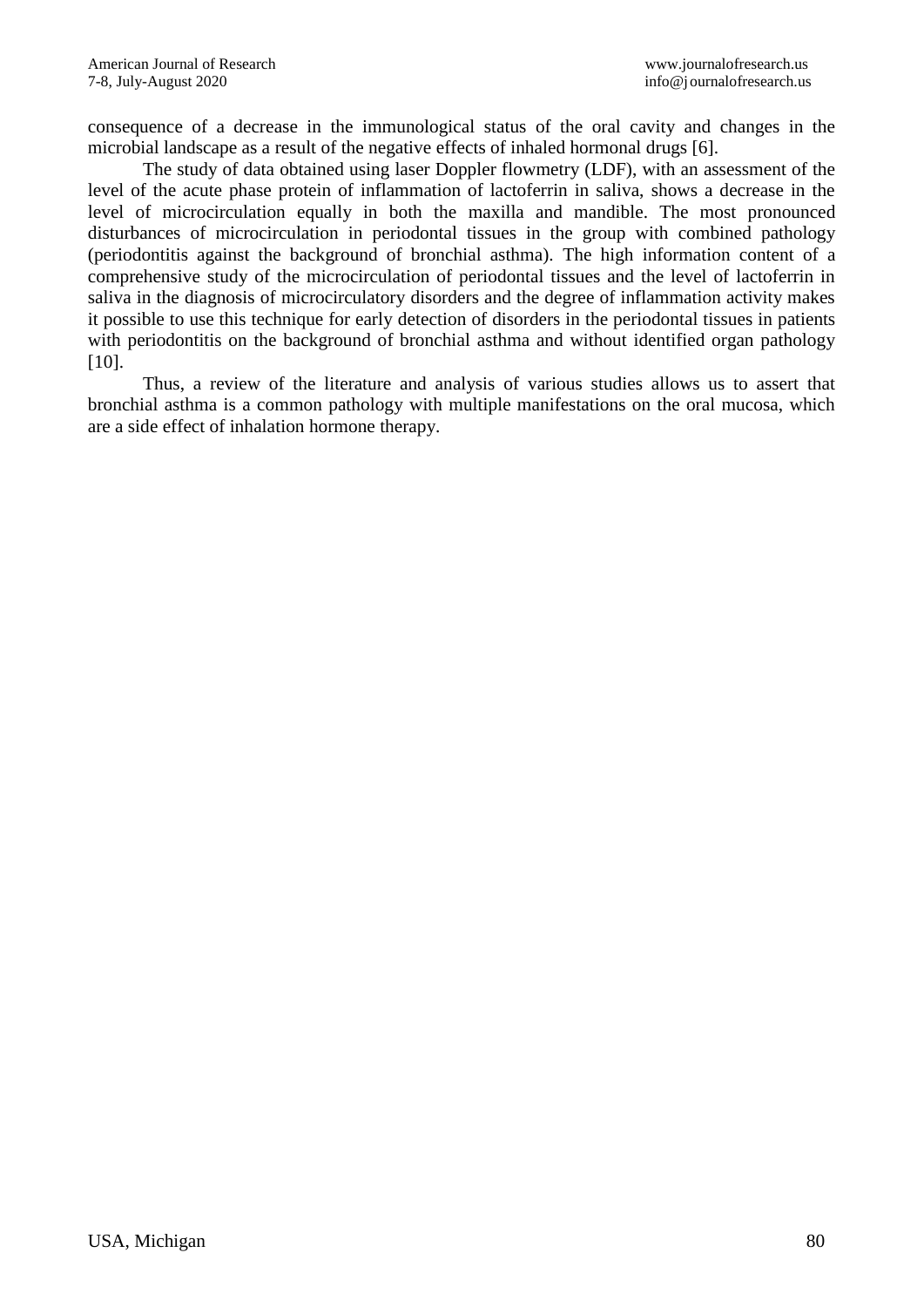consequence of a decrease in the immunological status of the oral cavity and changes in the microbial landscape as a result of the negative effects of inhaled hormonal drugs [6].

The study of data obtained using laser Doppler flowmetry (LDF), with an assessment of the level of the acute phase protein of inflammation of lactoferrin in saliva, shows a decrease in the level of microcirculation equally in both the maxilla and mandible. The most pronounced disturbances of microcirculation in periodontal tissues in the group with combined pathology (periodontitis against the background of bronchial asthma). The high information content of a comprehensive study of the microcirculation of periodontal tissues and the level of lactoferrin in saliva in the diagnosis of microcirculatory disorders and the degree of inflammation activity makes it possible to use this technique for early detection of disorders in the periodontal tissues in patients with periodontitis on the background of bronchial asthma and without identified organ pathology [10].

Thus, a review of the literature and analysis of various studies allows us to assert that bronchial asthma is a common pathology with multiple manifestations on the oral mucosa, which are a side effect of inhalation hormone therapy.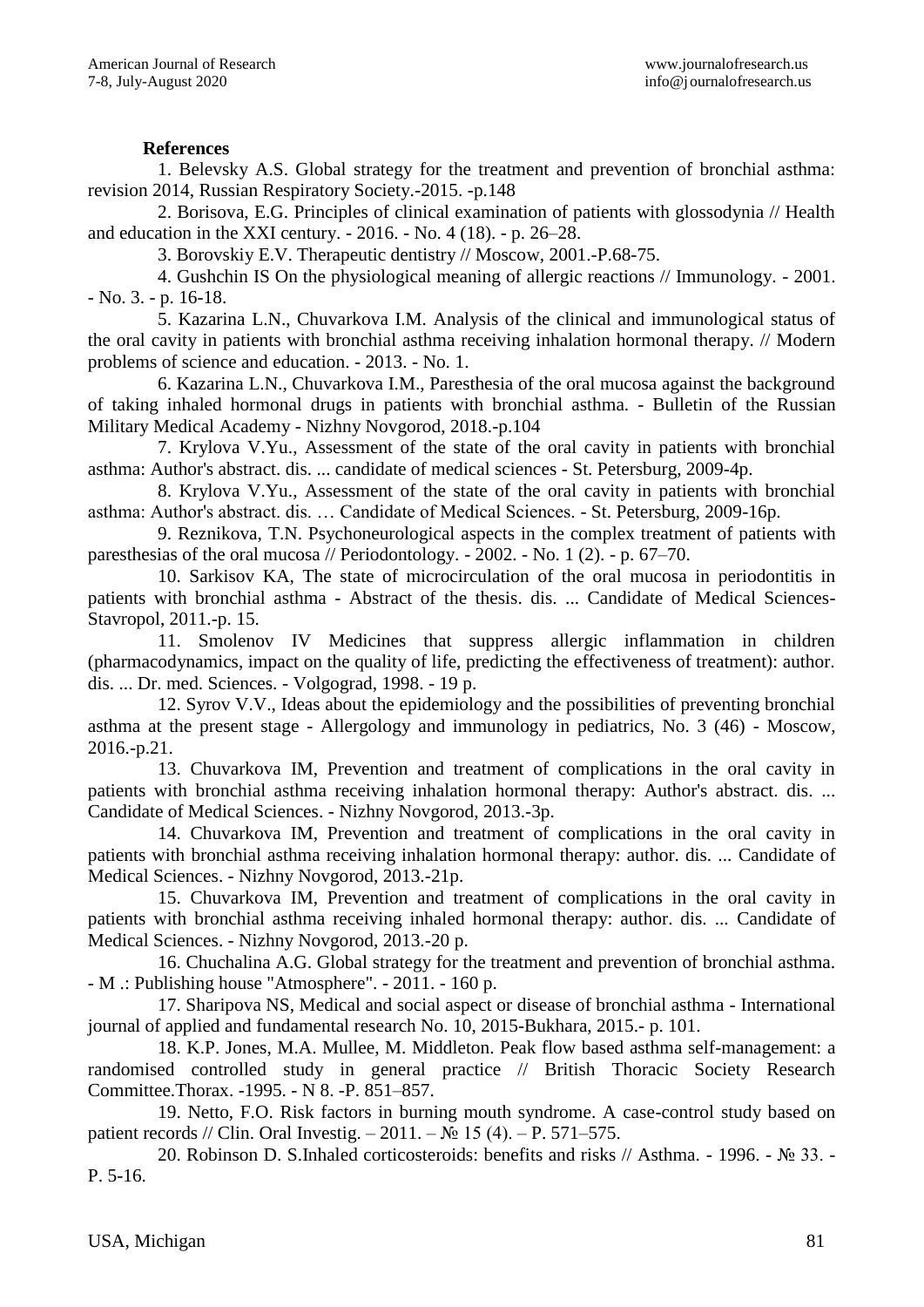## **References**

1. Belevsky A.S. Global strategy for the treatment and prevention of bronchial asthma: revision 2014, Russian Respiratory Society.-2015. -p.148

2. Borisova, E.G. Principles of clinical examination of patients with glossodynia // Health and education in the XXI century. - 2016. - No. 4 (18). - p. 26–28.

3. Borovskiy E.V. Therapeutic dentistry // Moscow, 2001.-P.68-75.

4. Gushchin IS On the physiological meaning of allergic reactions // Immunology. - 2001. - No. 3. - p. 16-18.

5. Kazarina L.N., Chuvarkova I.M. Analysis of the clinical and immunological status of the oral cavity in patients with bronchial asthma receiving inhalation hormonal therapy. // Modern problems of science and education. - 2013. - No. 1.

6. Kazarina L.N., Chuvarkova I.M., Paresthesia of the oral mucosa against the background of taking inhaled hormonal drugs in patients with bronchial asthma. - Bulletin of the Russian Military Medical Academy - Nizhny Novgorod, 2018.-p.104

7. Krylova V.Yu., Assessment of the state of the oral cavity in patients with bronchial asthma: Author's abstract. dis. ... candidate of medical sciences - St. Petersburg, 2009-4p.

8. Krylova V.Yu., Assessment of the state of the oral cavity in patients with bronchial asthma: Author's abstract. dis. … Candidate of Medical Sciences. - St. Petersburg, 2009-16p.

9. Reznikova, T.N. Psychoneurological aspects in the complex treatment of patients with paresthesias of the oral mucosa // Periodontology. - 2002. - No. 1 (2). - p. 67–70.

10. Sarkisov KA, The state of microcirculation of the oral mucosa in periodontitis in patients with bronchial asthma - Abstract of the thesis. dis. ... Candidate of Medical Sciences-Stavropol, 2011.-p. 15.

11. Smolenov IV Medicines that suppress allergic inflammation in children (pharmacodynamics, impact on the quality of life, predicting the effectiveness of treatment): author. dis. ... Dr. med. Sciences. - Volgograd, 1998. - 19 p.

12. Syrov V.V., Ideas about the epidemiology and the possibilities of preventing bronchial asthma at the present stage - Allergology and immunology in pediatrics, No. 3 (46) - Moscow, 2016.-p.21.

13. Chuvarkova IM, Prevention and treatment of complications in the oral cavity in patients with bronchial asthma receiving inhalation hormonal therapy: Author's abstract. dis. ... Candidate of Medical Sciences. - Nizhny Novgorod, 2013.-3p.

14. Chuvarkova IM, Prevention and treatment of complications in the oral cavity in patients with bronchial asthma receiving inhalation hormonal therapy: author. dis. ... Candidate of Medical Sciences. - Nizhny Novgorod, 2013.-21p.

15. Chuvarkova IM, Prevention and treatment of complications in the oral cavity in patients with bronchial asthma receiving inhaled hormonal therapy: author. dis. ... Candidate of Medical Sciences. - Nizhny Novgorod, 2013.-20 p.

16. Chuchalina A.G. Global strategy for the treatment and prevention of bronchial asthma. - M .: Publishing house "Atmosphere". - 2011. - 160 p.

17. Sharipova NS, Medical and social aspect or disease of bronchial asthma - International journal of applied and fundamental research No. 10, 2015-Bukhara, 2015.- p. 101.

18. K.P. Jones, M.A. Mullee, M. Middleton. Peak flow based asthma self-management: a randomised controlled study in general practice // British Thoracic Society Research Committee.Thorax. -1995. - N 8. -P. 851–857.

19. Netto, F.O. Risk factors in burning mouth syndrome. A case-control study based on patient records // Clin. Oral Investig.  $-2011. - N_2 15 (4) - P. 571-575.$ 

20. Robinson D. S.Inhaled corticosteroids: benefits and risks // Asthma. - 1996. - № 33. - P. 5-16.